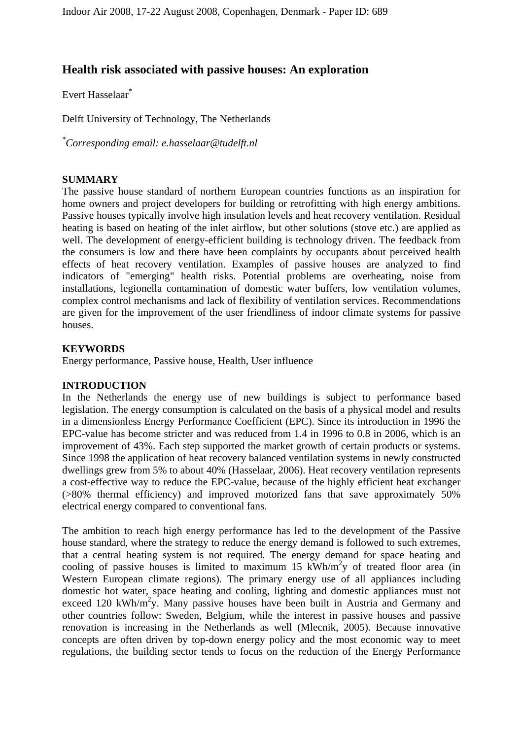# **Health risk associated with passive houses: An exploration**

Evert Hasselaar\*

Delft University of Technology, The Netherlands

*\* Corresponding email: e.hasselaar@tudelft.nl*

# **SUMMARY**

The passive house standard of northern European countries functions as an inspiration for home owners and project developers for building or retrofitting with high energy ambitions. Passive houses typically involve high insulation levels and heat recovery ventilation. Residual heating is based on heating of the inlet airflow, but other solutions (stove etc.) are applied as well. The development of energy-efficient building is technology driven. The feedback from the consumers is low and there have been complaints by occupants about perceived health effects of heat recovery ventilation. Examples of passive houses are analyzed to find indicators of "emerging" health risks. Potential problems are overheating, noise from installations, legionella contamination of domestic water buffers, low ventilation volumes, complex control mechanisms and lack of flexibility of ventilation services. Recommendations are given for the improvement of the user friendliness of indoor climate systems for passive houses.

# **KEYWORDS**

Energy performance, Passive house, Health, User influence

#### **INTRODUCTION**

In the Netherlands the energy use of new buildings is subject to performance based legislation. The energy consumption is calculated on the basis of a physical model and results in a dimensionless Energy Performance Coefficient (EPC). Since its introduction in 1996 the EPC-value has become stricter and was reduced from 1.4 in 1996 to 0.8 in 2006, which is an improvement of 43%. Each step supported the market growth of certain products or systems. Since 1998 the application of heat recovery balanced ventilation systems in newly constructed dwellings grew from 5% to about 40% (Hasselaar, 2006). Heat recovery ventilation represents a cost-effective way to reduce the EPC-value, because of the highly efficient heat exchanger (>80% thermal efficiency) and improved motorized fans that save approximately 50% electrical energy compared to conventional fans.

The ambition to reach high energy performance has led to the development of the Passive house standard, where the strategy to reduce the energy demand is followed to such extremes, that a central heating system is not required. The energy demand for space heating and cooling of passive houses is limited to maximum 15  $KWh/m^2y$  of treated floor area (in Western European climate regions). The primary energy use of all appliances including domestic hot water, space heating and cooling, lighting and domestic appliances must not exceed 120 kWh/m<sup>2</sup>y. Many passive houses have been built in Austria and Germany and other countries follow: Sweden, Belgium, while the interest in passive houses and passive renovation is increasing in the Netherlands as well (Mlecnik, 2005). Because innovative concepts are often driven by top-down energy policy and the most economic way to meet regulations, the building sector tends to focus on the reduction of the Energy Performance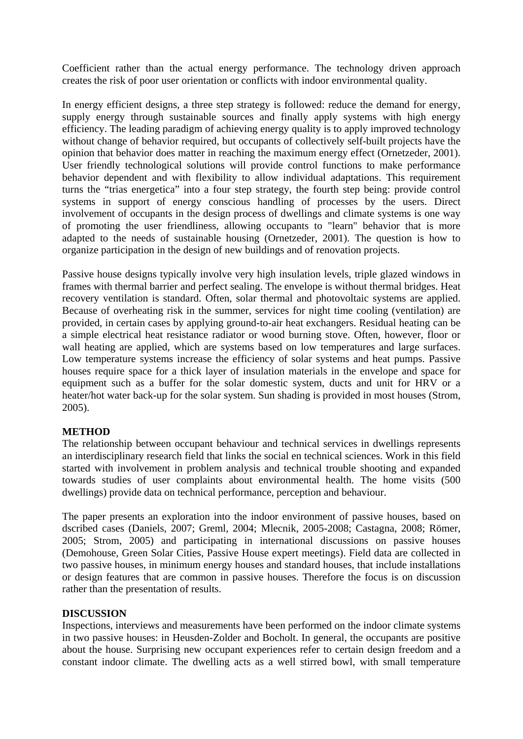Coefficient rather than the actual energy performance. The technology driven approach creates the risk of poor user orientation or conflicts with indoor environmental quality.

In energy efficient designs, a three step strategy is followed: reduce the demand for energy, supply energy through sustainable sources and finally apply systems with high energy efficiency. The leading paradigm of achieving energy quality is to apply improved technology without change of behavior required, but occupants of collectively self-built projects have the opinion that behavior does matter in reaching the maximum energy effect (Ornetzeder, 2001). User friendly technological solutions will provide control functions to make performance behavior dependent and with flexibility to allow individual adaptations. This requirement turns the "trias energetica" into a four step strategy, the fourth step being: provide control systems in support of energy conscious handling of processes by the users. Direct involvement of occupants in the design process of dwellings and climate systems is one way of promoting the user friendliness, allowing occupants to "learn" behavior that is more adapted to the needs of sustainable housing (Ornetzeder, 2001). The question is how to organize participation in the design of new buildings and of renovation projects.

Passive house designs typically involve very high insulation levels, triple glazed windows in frames with thermal barrier and perfect sealing. The envelope is without thermal bridges. Heat recovery ventilation is standard. Often, solar thermal and photovoltaic systems are applied. Because of overheating risk in the summer, services for night time cooling (ventilation) are provided, in certain cases by applying ground-to-air heat exchangers. Residual heating can be a simple electrical heat resistance radiator or wood burning stove. Often, however, floor or wall heating are applied, which are systems based on low temperatures and large surfaces. Low temperature systems increase the efficiency of solar systems and heat pumps. Passive houses require space for a thick layer of insulation materials in the envelope and space for equipment such as a buffer for the solar domestic system, ducts and unit for HRV or a heater/hot water back-up for the solar system. Sun shading is provided in most houses (Strom, 2005).

# **METHOD**

The relationship between occupant behaviour and technical services in dwellings represents an interdisciplinary research field that links the social en technical sciences. Work in this field started with involvement in problem analysis and technical trouble shooting and expanded towards studies of user complaints about environmental health. The home visits (500 dwellings) provide data on technical performance, perception and behaviour.

The paper presents an exploration into the indoor environment of passive houses, based on dscribed cases (Daniels, 2007; Greml, 2004; Mlecnik, 2005-2008; Castagna, 2008; Römer, 2005; Strom, 2005) and participating in international discussions on passive houses (Demohouse, Green Solar Cities, Passive House expert meetings). Field data are collected in two passive houses, in minimum energy houses and standard houses, that include installations or design features that are common in passive houses. Therefore the focus is on discussion rather than the presentation of results.

#### **DISCUSSION**

Inspections, interviews and measurements have been performed on the indoor climate systems in two passive houses: in Heusden-Zolder and Bocholt. In general, the occupants are positive about the house. Surprising new occupant experiences refer to certain design freedom and a constant indoor climate. The dwelling acts as a well stirred bowl, with small temperature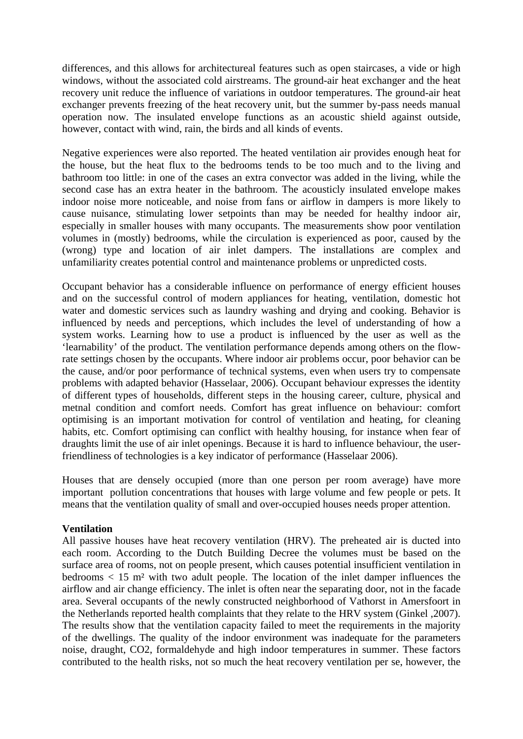differences, and this allows for architectureal features such as open staircases, a vide or high windows, without the associated cold airstreams. The ground-air heat exchanger and the heat recovery unit reduce the influence of variations in outdoor temperatures. The ground-air heat exchanger prevents freezing of the heat recovery unit, but the summer by-pass needs manual operation now. The insulated envelope functions as an acoustic shield against outside, however, contact with wind, rain, the birds and all kinds of events.

Negative experiences were also reported. The heated ventilation air provides enough heat for the house, but the heat flux to the bedrooms tends to be too much and to the living and bathroom too little: in one of the cases an extra convector was added in the living, while the second case has an extra heater in the bathroom. The acousticly insulated envelope makes indoor noise more noticeable, and noise from fans or airflow in dampers is more likely to cause nuisance, stimulating lower setpoints than may be needed for healthy indoor air, especially in smaller houses with many occupants. The measurements show poor ventilation volumes in (mostly) bedrooms, while the circulation is experienced as poor, caused by the (wrong) type and location of air inlet dampers. The installations are complex and unfamiliarity creates potential control and maintenance problems or unpredicted costs.

Occupant behavior has a considerable influence on performance of energy efficient houses and on the successful control of modern appliances for heating, ventilation, domestic hot water and domestic services such as laundry washing and drying and cooking. Behavior is influenced by needs and perceptions, which includes the level of understanding of how a system works. Learning how to use a product is influenced by the user as well as the 'learnability' of the product. The ventilation performance depends among others on the flowrate settings chosen by the occupants. Where indoor air problems occur, poor behavior can be the cause, and/or poor performance of technical systems, even when users try to compensate problems with adapted behavior (Hasselaar, 2006). Occupant behaviour expresses the identity of different types of households, different steps in the housing career, culture, physical and metnal condition and comfort needs. Comfort has great influence on behaviour: comfort optimising is an important motivation for control of ventilation and heating, for cleaning habits, etc. Comfort optimising can conflict with healthy housing, for instance when fear of draughts limit the use of air inlet openings. Because it is hard to influence behaviour, the userfriendliness of technologies is a key indicator of performance (Hasselaar 2006).

Houses that are densely occupied (more than one person per room average) have more important pollution concentrations that houses with large volume and few people or pets. It means that the ventilation quality of small and over-occupied houses needs proper attention.

#### **Ventilation**

All passive houses have heat recovery ventilation (HRV). The preheated air is ducted into each room. According to the Dutch Building Decree the volumes must be based on the surface area of rooms, not on people present, which causes potential insufficient ventilation in bedrooms  $\langle 15 \text{ m}^2 \rangle$  with two adult people. The location of the inlet damper influences the airflow and air change efficiency. The inlet is often near the separating door, not in the facade area. Several occupants of the newly constructed neighborhood of Vathorst in Amersfoort in the Netherlands reported health complaints that they relate to the HRV system (Ginkel ,2007). The results show that the ventilation capacity failed to meet the requirements in the majority of the dwellings. The quality of the indoor environment was inadequate for the parameters noise, draught, CO2, formaldehyde and high indoor temperatures in summer. These factors contributed to the health risks, not so much the heat recovery ventilation per se, however, the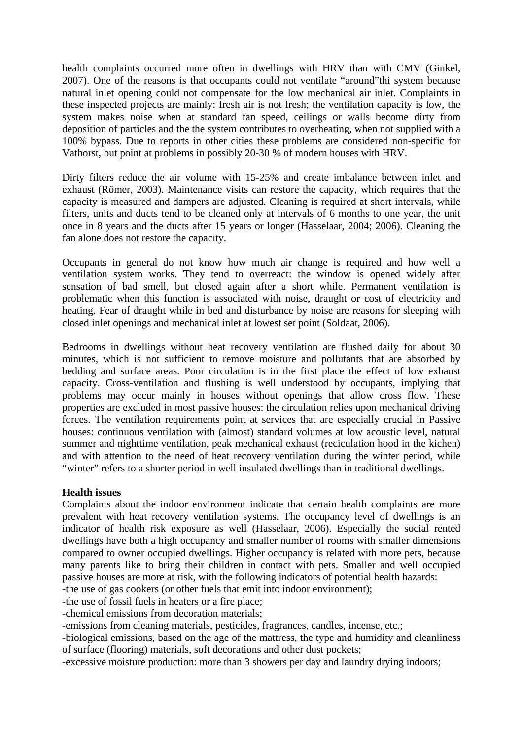health complaints occurred more often in dwellings with HRV than with CMV (Ginkel, 2007). One of the reasons is that occupants could not ventilate "around"thi system because natural inlet opening could not compensate for the low mechanical air inlet. Complaints in these inspected projects are mainly: fresh air is not fresh; the ventilation capacity is low, the system makes noise when at standard fan speed, ceilings or walls become dirty from deposition of particles and the the system contributes to overheating, when not supplied with a 100% bypass. Due to reports in other cities these problems are considered non-specific for Vathorst, but point at problems in possibly 20-30 % of modern houses with HRV.

Dirty filters reduce the air volume with 15-25% and create imbalance between inlet and exhaust (Römer, 2003). Maintenance visits can restore the capacity, which requires that the capacity is measured and dampers are adjusted. Cleaning is required at short intervals, while filters, units and ducts tend to be cleaned only at intervals of 6 months to one year, the unit once in 8 years and the ducts after 15 years or longer (Hasselaar, 2004; 2006). Cleaning the fan alone does not restore the capacity.

Occupants in general do not know how much air change is required and how well a ventilation system works. They tend to overreact: the window is opened widely after sensation of bad smell, but closed again after a short while. Permanent ventilation is problematic when this function is associated with noise, draught or cost of electricity and heating. Fear of draught while in bed and disturbance by noise are reasons for sleeping with closed inlet openings and mechanical inlet at lowest set point (Soldaat, 2006).

Bedrooms in dwellings without heat recovery ventilation are flushed daily for about 30 minutes, which is not sufficient to remove moisture and pollutants that are absorbed by bedding and surface areas. Poor circulation is in the first place the effect of low exhaust capacity. Cross-ventilation and flushing is well understood by occupants, implying that problems may occur mainly in houses without openings that allow cross flow. These properties are excluded in most passive houses: the circulation relies upon mechanical driving forces. The ventilation requirements point at services that are especially crucial in Passive houses: continuous ventilation with (almost) standard volumes at low acoustic level, natural summer and nighttime ventilation, peak mechanical exhaust (reciculation hood in the kichen) and with attention to the need of heat recovery ventilation during the winter period, while "winter" refers to a shorter period in well insulated dwellings than in traditional dwellings.

#### **Health issues**

Complaints about the indoor environment indicate that certain health complaints are more prevalent with heat recovery ventilation systems. The occupancy level of dwellings is an indicator of health risk exposure as well (Hasselaar, 2006). Especially the social rented dwellings have both a high occupancy and smaller number of rooms with smaller dimensions compared to owner occupied dwellings. Higher occupancy is related with more pets, because many parents like to bring their children in contact with pets. Smaller and well occupied passive houses are more at risk, with the following indicators of potential health hazards:

-the use of gas cookers (or other fuels that emit into indoor environment);

-the use of fossil fuels in heaters or a fire place;

-chemical emissions from decoration materials;

-emissions from cleaning materials, pesticides, fragrances, candles, incense, etc.;

-biological emissions, based on the age of the mattress, the type and humidity and cleanliness of surface (flooring) materials, soft decorations and other dust pockets;

-excessive moisture production: more than 3 showers per day and laundry drying indoors;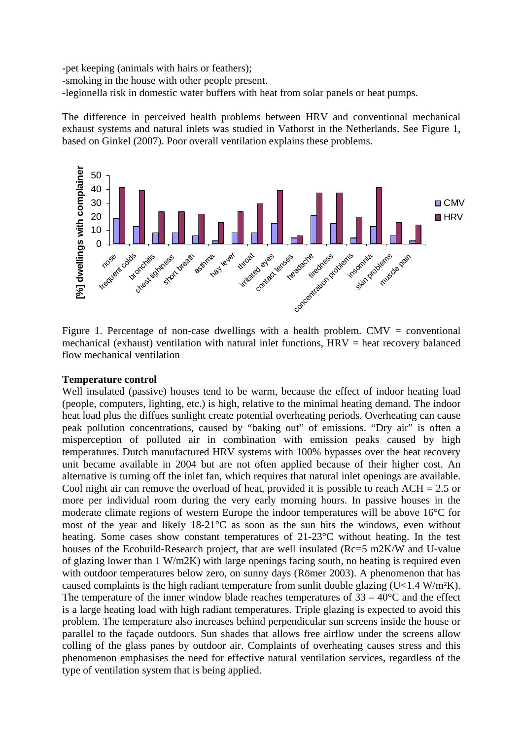-pet keeping (animals with hairs or feathers);

-smoking in the house with other people present.

-legionella risk in domestic water buffers with heat from solar panels or heat pumps.

The difference in perceived health problems between HRV and conventional mechanical exhaust systems and natural inlets was studied in Vathorst in the Netherlands. See Figure 1, based on Ginkel (2007). Poor overall ventilation explains these problems.



Figure 1. Percentage of non-case dwellings with a health problem. CMV = conventional mechanical (exhaust) ventilation with natural inlet functions,  $HRV = heat$  recovery balanced flow mechanical ventilation

#### **Temperature control**

Well insulated (passive) houses tend to be warm, because the effect of indoor heating load (people, computers, lighting, etc.) is high, relative to the minimal heating demand. The indoor heat load plus the diffues sunlight create potential overheating periods. Overheating can cause peak pollution concentrations, caused by "baking out" of emissions. "Dry air" is often a misperception of polluted air in combination with emission peaks caused by high temperatures. Dutch manufactured HRV systems with 100% bypasses over the heat recovery unit became available in 2004 but are not often applied because of their higher cost. An alternative is turning off the inlet fan, which requires that natural inlet openings are available. Cool night air can remove the overload of heat, provided it is possible to reach  $ACH = 2.5$  or more per individual room during the very early morning hours. In passive houses in the moderate climate regions of western Europe the indoor temperatures will be above 16°C for most of the year and likely 18-21°C as soon as the sun hits the windows, even without heating. Some cases show constant temperatures of 21-23°C without heating. In the test houses of the Ecobuild-Research project, that are well insulated (Rc=5 m2K/W and U-value of glazing lower than 1 W/m2K) with large openings facing south, no heating is required even with outdoor temperatures below zero, on sunny days (Römer 2003). A phenomenon that has caused complaints is the high radiant temperature from sunlit double glazing  $(U<1.4 W/m<sup>2</sup>K)$ . The temperature of the inner window blade reaches temperatures of  $33 - 40^{\circ}$ C and the effect is a large heating load with high radiant temperatures. Triple glazing is expected to avoid this problem. The temperature also increases behind perpendicular sun screens inside the house or parallel to the façade outdoors. Sun shades that allows free airflow under the screens allow colling of the glass panes by outdoor air. Complaints of overheating causes stress and this phenomenon emphasises the need for effective natural ventilation services, regardless of the type of ventilation system that is being applied.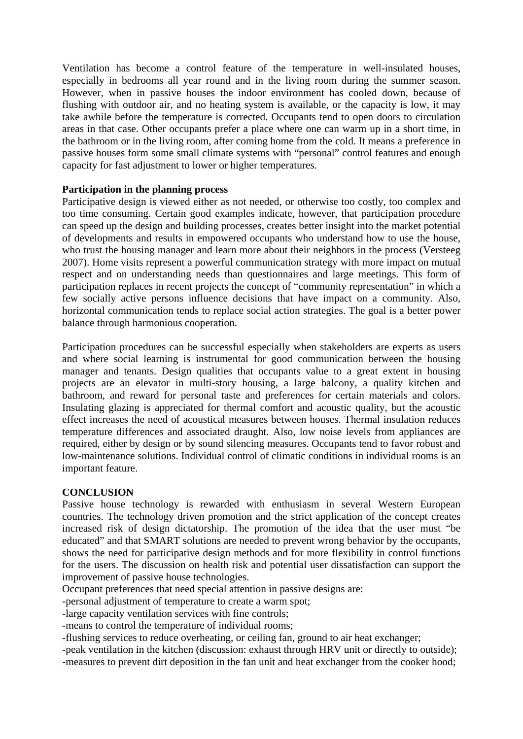Ventilation has become a control feature of the temperature in well-insulated houses, especially in bedrooms all year round and in the living room during the summer season. However, when in passive houses the indoor environment has cooled down, because of flushing with outdoor air, and no heating system is available, or the capacity is low, it may take awhile before the temperature is corrected. Occupants tend to open doors to circulation areas in that case. Other occupants prefer a place where one can warm up in a short time, in the bathroom or in the living room, after coming home from the cold. It means a preference in passive houses form some small climate systems with "personal" control features and enough capacity for fast adjustment to lower or higher temperatures.

# **Participation in the planning process**

Participative design is viewed either as not needed, or otherwise too costly, too complex and too time consuming. Certain good examples indicate, however, that participation procedure can speed up the design and building processes, creates better insight into the market potential of developments and results in empowered occupants who understand how to use the house, who trust the housing manager and learn more about their neighbors in the process (Versteeg 2007). Home visits represent a powerful communication strategy with more impact on mutual respect and on understanding needs than questionnaires and large meetings. This form of participation replaces in recent projects the concept of "community representation" in which a few socially active persons influence decisions that have impact on a community. Also, horizontal communication tends to replace social action strategies. The goal is a better power balance through harmonious cooperation.

Participation procedures can be successful especially when stakeholders are experts as users and where social learning is instrumental for good communication between the housing manager and tenants. Design qualities that occupants value to a great extent in housing projects are an elevator in multi-story housing, a large balcony, a quality kitchen and bathroom, and reward for personal taste and preferences for certain materials and colors. Insulating glazing is appreciated for thermal comfort and acoustic quality, but the acoustic effect increases the need of acoustical measures between houses. Thermal insulation reduces temperature differences and associated draught. Also, low noise levels from appliances are required, either by design or by sound silencing measures. Occupants tend to favor robust and low-maintenance solutions. Individual control of climatic conditions in individual rooms is an important feature.

#### **CONCLUSION**

Passive house technology is rewarded with enthusiasm in several Western European countries. The technology driven promotion and the strict application of the concept creates increased risk of design dictatorship. The promotion of the idea that the user must "be educated" and that SMART solutions are needed to prevent wrong behavior by the occupants, shows the need for participative design methods and for more flexibility in control functions for the users. The discussion on health risk and potential user dissatisfaction can support the improvement of passive house technologies.

Occupant preferences that need special attention in passive designs are:

-personal adjustment of temperature to create a warm spot;

-large capacity ventilation services with fine controls;

-means to control the temperature of individual rooms;

-flushing services to reduce overheating, or ceiling fan, ground to air heat exchanger;

-peak ventilation in the kitchen (discussion: exhaust through HRV unit or directly to outside);

-measures to prevent dirt deposition in the fan unit and heat exchanger from the cooker hood;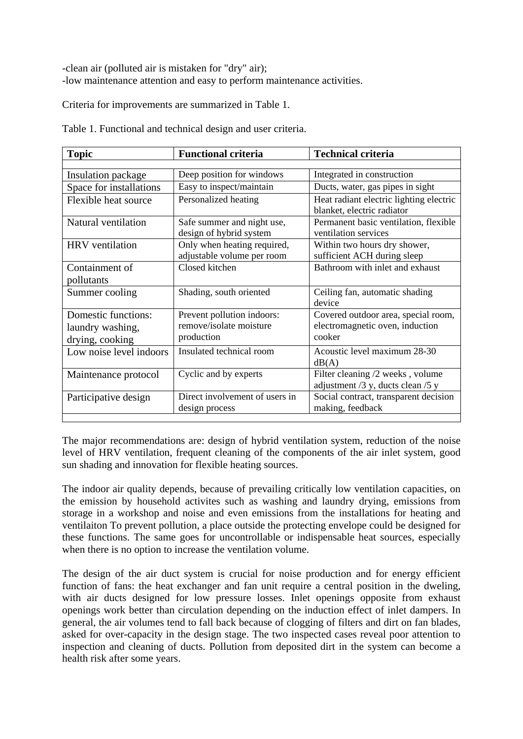-clean air (polluted air is mistaken for "dry" air); -low maintenance attention and easy to perform maintenance activities.

Criteria for improvements are summarized in Table 1.

| <b>Topic</b>                                               | <b>Functional criteria</b>                                          | <b>Technical criteria</b>                                                        |
|------------------------------------------------------------|---------------------------------------------------------------------|----------------------------------------------------------------------------------|
|                                                            |                                                                     |                                                                                  |
| Insulation package                                         | Deep position for windows                                           | Integrated in construction                                                       |
| Space for installations                                    | Easy to inspect/maintain                                            | Ducts, water, gas pipes in sight                                                 |
| Flexible heat source                                       | Personalized heating                                                | Heat radiant electric lighting electric<br>blanket, electric radiator            |
| Natural ventilation                                        | Safe summer and night use,<br>design of hybrid system               | Permanent basic ventilation, flexible<br>ventilation services                    |
| <b>HRV</b> ventilation                                     | Only when heating required,<br>adjustable volume per room           | Within two hours dry shower,<br>sufficient ACH during sleep                      |
| Containment of<br>pollutants                               | Closed kitchen                                                      | Bathroom with inlet and exhaust                                                  |
| Summer cooling                                             | Shading, south oriented                                             | Ceiling fan, automatic shading<br>device                                         |
| Domestic functions:<br>laundry washing,<br>drying, cooking | Prevent pollution indoors:<br>remove/isolate moisture<br>production | Covered outdoor area, special room,<br>electromagnetic oven, induction<br>cooker |
| Low noise level indoors                                    | Insulated technical room                                            | Acoustic level maximum 28-30<br>dB(A)                                            |
| Maintenance protocol                                       | Cyclic and by experts                                               | Filter cleaning /2 weeks, volume<br>adjustment /3 y, ducts clean /5 y            |
| Participative design                                       | Direct involvement of users in<br>design process                    | Social contract, transparent decision<br>making, feedback                        |

Table 1. Functional and technical design and user criteria.

The major recommendations are: design of hybrid ventilation system, reduction of the noise level of HRV ventilation, frequent cleaning of the components of the air inlet system, good sun shading and innovation for flexible heating sources.

The indoor air quality depends, because of prevailing critically low ventilation capacities, on the emission by household activites such as washing and laundry drying, emissions from storage in a workshop and noise and even emissions from the installations for heating and ventilaiton To prevent pollution, a place outside the protecting envelope could be designed for these functions. The same goes for uncontrollable or indispensable heat sources, especially when there is no option to increase the ventilation volume.

The design of the air duct system is crucial for noise production and for energy efficient function of fans: the heat exchanger and fan unit require a central position in the dweling, with air ducts designed for low pressure losses. Inlet openings opposite from exhaust openings work better than circulation depending on the induction effect of inlet dampers. In general, the air volumes tend to fall back because of clogging of filters and dirt on fan blades, asked for over-capacity in the design stage. The two inspected cases reveal poor attention to inspection and cleaning of ducts. Pollution from deposited dirt in the system can become a health risk after some years.